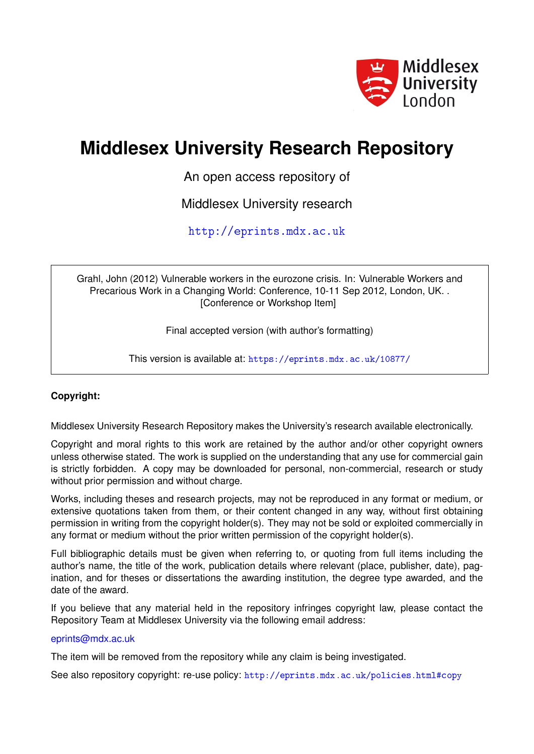

# **Middlesex University Research Repository**

An open access repository of

Middlesex University research

<http://eprints.mdx.ac.uk>

Grahl, John (2012) Vulnerable workers in the eurozone crisis. In: Vulnerable Workers and Precarious Work in a Changing World: Conference, 10-11 Sep 2012, London, UK. . [Conference or Workshop Item]

Final accepted version (with author's formatting)

This version is available at: <https://eprints.mdx.ac.uk/10877/>

# **Copyright:**

Middlesex University Research Repository makes the University's research available electronically.

Copyright and moral rights to this work are retained by the author and/or other copyright owners unless otherwise stated. The work is supplied on the understanding that any use for commercial gain is strictly forbidden. A copy may be downloaded for personal, non-commercial, research or study without prior permission and without charge.

Works, including theses and research projects, may not be reproduced in any format or medium, or extensive quotations taken from them, or their content changed in any way, without first obtaining permission in writing from the copyright holder(s). They may not be sold or exploited commercially in any format or medium without the prior written permission of the copyright holder(s).

Full bibliographic details must be given when referring to, or quoting from full items including the author's name, the title of the work, publication details where relevant (place, publisher, date), pagination, and for theses or dissertations the awarding institution, the degree type awarded, and the date of the award.

If you believe that any material held in the repository infringes copyright law, please contact the Repository Team at Middlesex University via the following email address:

## [eprints@mdx.ac.uk](mailto:eprints@mdx.ac.uk)

The item will be removed from the repository while any claim is being investigated.

See also repository copyright: re-use policy: <http://eprints.mdx.ac.uk/policies.html#copy>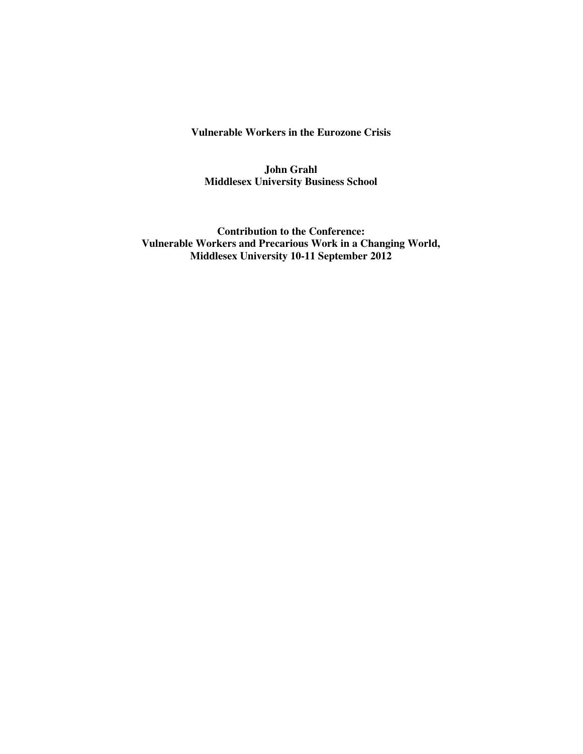**Vulnerable Workers in the Eurozone Crisis** 

**John Grahl Middlesex University Business School** 

**Contribution to the Conference: Vulnerable Workers and Precarious Work in a Changing World, Middlesex University 10-11 September 2012**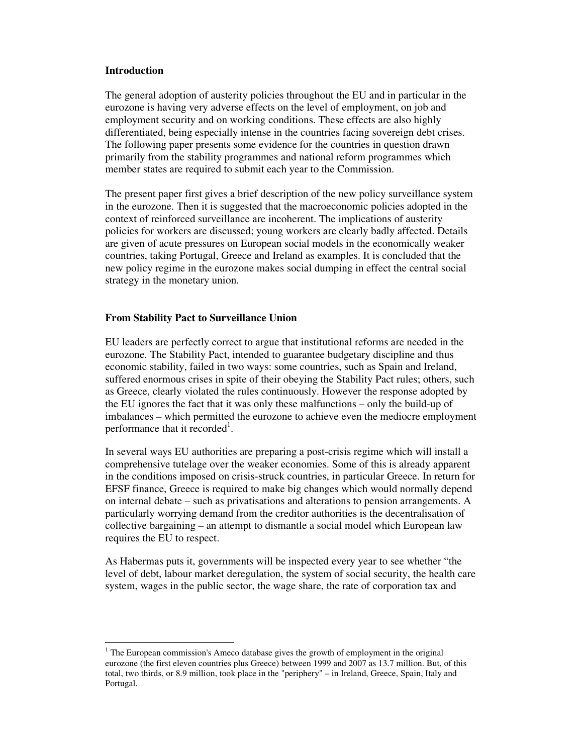#### **Introduction**

-

The general adoption of austerity policies throughout the EU and in particular in the eurozone is having very adverse effects on the level of employment, on job and employment security and on working conditions. These effects are also highly differentiated, being especially intense in the countries facing sovereign debt crises. The following paper presents some evidence for the countries in question drawn primarily from the stability programmes and national reform programmes which member states are required to submit each year to the Commission.

The present paper first gives a brief description of the new policy surveillance system in the eurozone. Then it is suggested that the macroeconomic policies adopted in the context of reinforced surveillance are incoherent. The implications of austerity policies for workers are discussed; young workers are clearly badly affected. Details are given of acute pressures on European social models in the economically weaker countries, taking Portugal, Greece and Ireland as examples. It is concluded that the new policy regime in the eurozone makes social dumping in effect the central social strategy in the monetary union.

## **From Stability Pact to Surveillance Union**

EU leaders are perfectly correct to argue that institutional reforms are needed in the eurozone. The Stability Pact, intended to guarantee budgetary discipline and thus economic stability, failed in two ways: some countries, such as Spain and Ireland, suffered enormous crises in spite of their obeying the Stability Pact rules; others, such as Greece, clearly violated the rules continuously. However the response adopted by the EU ignores the fact that it was only these malfunctions – only the build-up of imbalances – which permitted the eurozone to achieve even the mediocre employment performance that it recorded<sup>1</sup>.

In several ways EU authorities are preparing a post-crisis regime which will install a comprehensive tutelage over the weaker economies. Some of this is already apparent in the conditions imposed on crisis-struck countries, in particular Greece. In return for EFSF finance, Greece is required to make big changes which would normally depend on internal debate – such as privatisations and alterations to pension arrangements. A particularly worrying demand from the creditor authorities is the decentralisation of collective bargaining – an attempt to dismantle a social model which European law requires the EU to respect.

As Habermas puts it, governments will be inspected every year to see whether "the level of debt, labour market deregulation, the system of social security, the health care system, wages in the public sector, the wage share, the rate of corporation tax and

<sup>&</sup>lt;sup>1</sup> The European commission's Ameco database gives the growth of employment in the original eurozone (the first eleven countries plus Greece) between 1999 and 2007 as 13.7 million. But, of this total, two thirds, or 8.9 million, took place in the "periphery" – in Ireland, Greece, Spain, Italy and Portugal.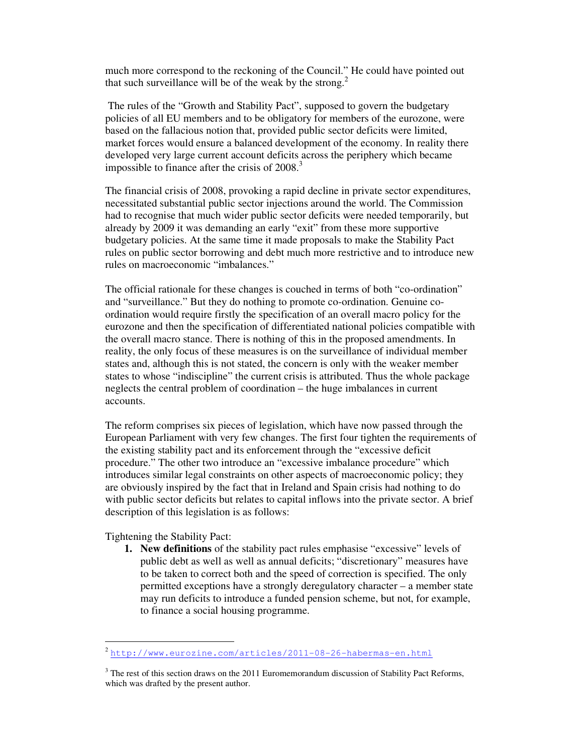much more correspond to the reckoning of the Council." He could have pointed out that such surveillance will be of the weak by the strong.<sup>2</sup>

 The rules of the "Growth and Stability Pact", supposed to govern the budgetary policies of all EU members and to be obligatory for members of the eurozone, were based on the fallacious notion that, provided public sector deficits were limited, market forces would ensure a balanced development of the economy. In reality there developed very large current account deficits across the periphery which became impossible to finance after the crisis of  $2008$ <sup>3</sup>

The financial crisis of 2008, provoking a rapid decline in private sector expenditures, necessitated substantial public sector injections around the world. The Commission had to recognise that much wider public sector deficits were needed temporarily, but already by 2009 it was demanding an early "exit" from these more supportive budgetary policies. At the same time it made proposals to make the Stability Pact rules on public sector borrowing and debt much more restrictive and to introduce new rules on macroeconomic "imbalances."

The official rationale for these changes is couched in terms of both "co-ordination" and "surveillance." But they do nothing to promote co-ordination. Genuine coordination would require firstly the specification of an overall macro policy for the eurozone and then the specification of differentiated national policies compatible with the overall macro stance. There is nothing of this in the proposed amendments. In reality, the only focus of these measures is on the surveillance of individual member states and, although this is not stated, the concern is only with the weaker member states to whose "indiscipline" the current crisis is attributed. Thus the whole package neglects the central problem of coordination – the huge imbalances in current accounts.

The reform comprises six pieces of legislation, which have now passed through the European Parliament with very few changes. The first four tighten the requirements of the existing stability pact and its enforcement through the "excessive deficit procedure." The other two introduce an "excessive imbalance procedure" which introduces similar legal constraints on other aspects of macroeconomic policy; they are obviously inspired by the fact that in Ireland and Spain crisis had nothing to do with public sector deficits but relates to capital inflows into the private sector. A brief description of this legislation is as follows:

Tightening the Stability Pact:

-

**1. New definitions** of the stability pact rules emphasise "excessive" levels of public debt as well as well as annual deficits; "discretionary" measures have to be taken to correct both and the speed of correction is specified. The only permitted exceptions have a strongly deregulatory character – a member state may run deficits to introduce a funded pension scheme, but not, for example, to finance a social housing programme.

<sup>2</sup> http://www.eurozine.com/articles/2011-08-26-habermas-en.html

 $3$  The rest of this section draws on the 2011 Euromemorandum discussion of Stability Pact Reforms, which was drafted by the present author.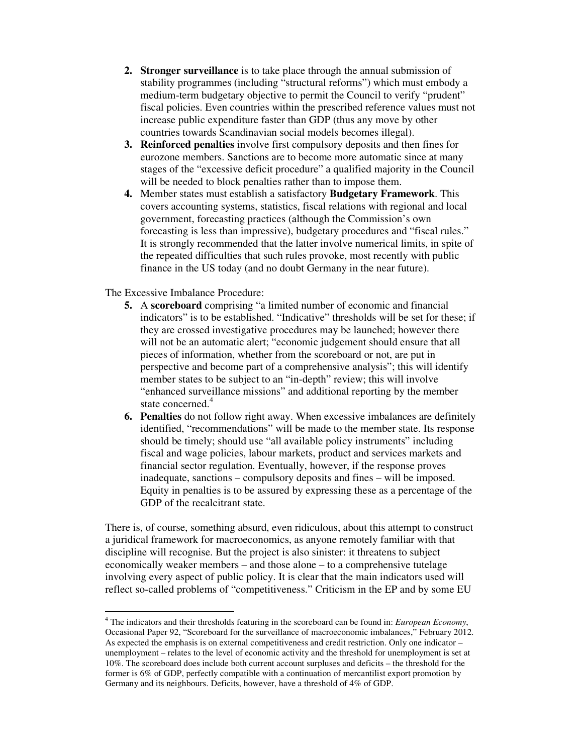- **2. Stronger surveillance** is to take place through the annual submission of stability programmes (including "structural reforms") which must embody a medium-term budgetary objective to permit the Council to verify "prudent" fiscal policies. Even countries within the prescribed reference values must not increase public expenditure faster than GDP (thus any move by other countries towards Scandinavian social models becomes illegal).
- **3. Reinforced penalties** involve first compulsory deposits and then fines for eurozone members. Sanctions are to become more automatic since at many stages of the "excessive deficit procedure" a qualified majority in the Council will be needed to block penalties rather than to impose them.
- **4.** Member states must establish a satisfactory **Budgetary Framework**. This covers accounting systems, statistics, fiscal relations with regional and local government, forecasting practices (although the Commission's own forecasting is less than impressive), budgetary procedures and "fiscal rules." It is strongly recommended that the latter involve numerical limits, in spite of the repeated difficulties that such rules provoke, most recently with public finance in the US today (and no doubt Germany in the near future).

The Excessive Imbalance Procedure:

- **5.** A **scoreboard** comprising "a limited number of economic and financial indicators" is to be established. "Indicative" thresholds will be set for these; if they are crossed investigative procedures may be launched; however there will not be an automatic alert; "economic judgement should ensure that all pieces of information, whether from the scoreboard or not, are put in perspective and become part of a comprehensive analysis"; this will identify member states to be subject to an "in-depth" review; this will involve "enhanced surveillance missions" and additional reporting by the member state concerned.<sup>4</sup>
- **6. Penalties** do not follow right away. When excessive imbalances are definitely identified, "recommendations" will be made to the member state. Its response should be timely; should use "all available policy instruments" including fiscal and wage policies, labour markets, product and services markets and financial sector regulation. Eventually, however, if the response proves inadequate, sanctions – compulsory deposits and fines – will be imposed. Equity in penalties is to be assured by expressing these as a percentage of the GDP of the recalcitrant state.

There is, of course, something absurd, even ridiculous, about this attempt to construct a juridical framework for macroeconomics, as anyone remotely familiar with that discipline will recognise. But the project is also sinister: it threatens to subject economically weaker members – and those alone – to a comprehensive tutelage involving every aspect of public policy. It is clear that the main indicators used will reflect so-called problems of "competitiveness." Criticism in the EP and by some EU

 4 The indicators and their thresholds featuring in the scoreboard can be found in: *European Economy*, Occasional Paper 92, "Scoreboard for the surveillance of macroeconomic imbalances," February 2012. As expected the emphasis is on external competitiveness and credit restriction. Only one indicator – unemployment – relates to the level of economic activity and the threshold for unemployment is set at 10%. The scoreboard does include both current account surpluses and deficits – the threshold for the former is 6% of GDP, perfectly compatible with a continuation of mercantilist export promotion by Germany and its neighbours. Deficits, however, have a threshold of 4% of GDP.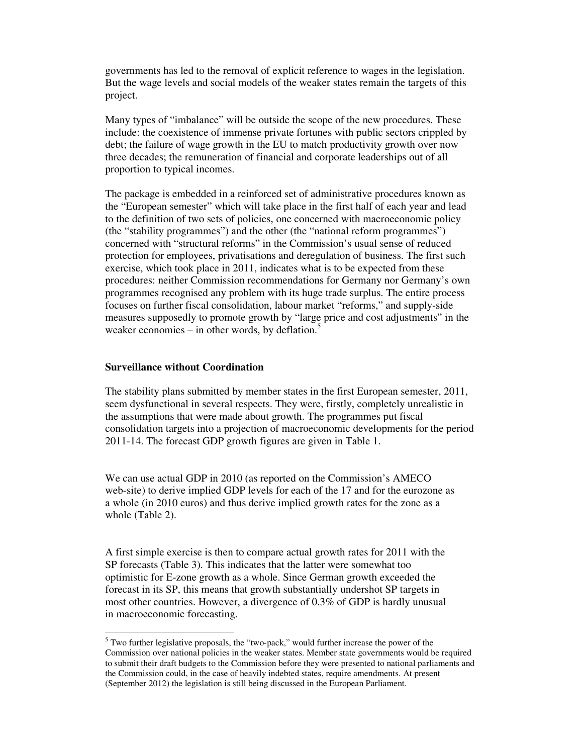governments has led to the removal of explicit reference to wages in the legislation. But the wage levels and social models of the weaker states remain the targets of this project.

Many types of "imbalance" will be outside the scope of the new procedures. These include: the coexistence of immense private fortunes with public sectors crippled by debt; the failure of wage growth in the EU to match productivity growth over now three decades; the remuneration of financial and corporate leaderships out of all proportion to typical incomes.

The package is embedded in a reinforced set of administrative procedures known as the "European semester" which will take place in the first half of each year and lead to the definition of two sets of policies, one concerned with macroeconomic policy (the "stability programmes") and the other (the "national reform programmes") concerned with "structural reforms" in the Commission's usual sense of reduced protection for employees, privatisations and deregulation of business. The first such exercise, which took place in 2011, indicates what is to be expected from these procedures: neither Commission recommendations for Germany nor Germany's own programmes recognised any problem with its huge trade surplus. The entire process focuses on further fiscal consolidation, labour market "reforms," and supply-side measures supposedly to promote growth by "large price and cost adjustments" in the weaker economies – in other words, by deflation. $5$ 

#### **Surveillance without Coordination**

-

The stability plans submitted by member states in the first European semester, 2011, seem dysfunctional in several respects. They were, firstly, completely unrealistic in the assumptions that were made about growth. The programmes put fiscal consolidation targets into a projection of macroeconomic developments for the period 2011-14. The forecast GDP growth figures are given in Table 1.

We can use actual GDP in 2010 (as reported on the Commission's AMECO web-site) to derive implied GDP levels for each of the 17 and for the eurozone as a whole (in 2010 euros) and thus derive implied growth rates for the zone as a whole (Table 2).

A first simple exercise is then to compare actual growth rates for 2011 with the SP forecasts (Table 3). This indicates that the latter were somewhat too optimistic for E-zone growth as a whole. Since German growth exceeded the forecast in its SP, this means that growth substantially undershot SP targets in most other countries. However, a divergence of 0.3% of GDP is hardly unusual in macroeconomic forecasting.

<sup>&</sup>lt;sup>5</sup> Two further legislative proposals, the "two-pack," would further increase the power of the Commission over national policies in the weaker states. Member state governments would be required to submit their draft budgets to the Commission before they were presented to national parliaments and the Commission could, in the case of heavily indebted states, require amendments. At present (September 2012) the legislation is still being discussed in the European Parliament.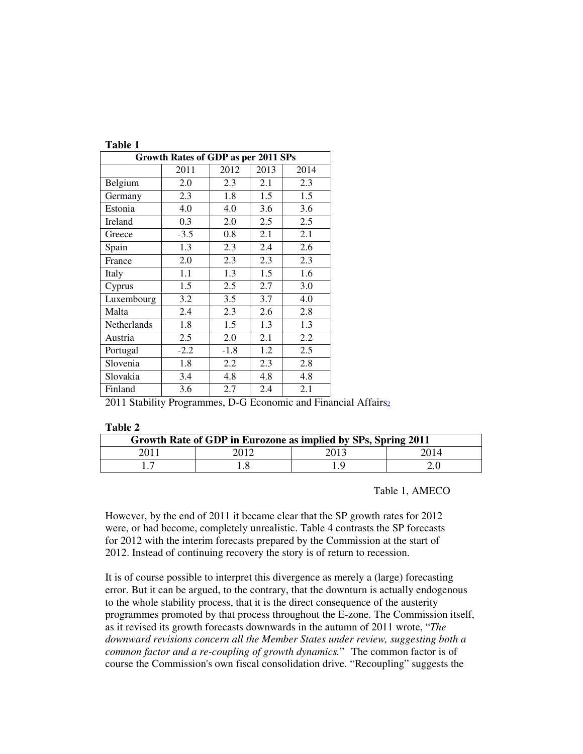| 'able |  |
|-------|--|
|       |  |

| <b>Growth Rates of GDP as per 2011 SPs</b> |        |        |      |      |  |
|--------------------------------------------|--------|--------|------|------|--|
|                                            | 2011   | 2012   | 2013 | 2014 |  |
| Belgium                                    | 2.0    | 2.3    | 2.1  | 2.3  |  |
| Germany                                    | 2.3    | 1.8    | 1.5  | 1.5  |  |
| Estonia                                    | 4.0    | 4.0    | 3.6  | 3.6  |  |
| Ireland                                    | 0.3    | 2.0    | 2.5  | 2.5  |  |
| Greece                                     | $-3.5$ | 0.8    | 2.1  | 2.1  |  |
| Spain                                      | 1.3    | 2.3    | 2.4  | 2.6  |  |
| France                                     | 2.0    | 2.3    | 2.3  | 2.3  |  |
| Italy                                      | 1.1    | 1.3    | 1.5  | 1.6  |  |
| Cyprus                                     | 1.5    | 2.5    | 2.7  | 3.0  |  |
| Luxembourg                                 | 3.2    | 3.5    | 3.7  | 4.0  |  |
| Malta                                      | 2.4    | 2.3    | 2.6  | 2.8  |  |
| Netherlands                                | 1.8    | 1.5    | 1.3  | 1.3  |  |
| Austria                                    | 2.5    | 2.0    | 2.1  | 2.2  |  |
| Portugal                                   | $-2.2$ | $-1.8$ | 1.2  | 2.5  |  |
| Slovenia                                   | 1.8    | 2.2    | 2.3  | 2.8  |  |
| Slovakia                                   | 3.4    | 4.8    | 4.8  | 4.8  |  |
| Finland                                    | 3.6    | 2.7    | 2.4  | 2.1  |  |

2011 Stability Programmes, D-G Economic and Financial Affairs<sub>2</sub>

**Table 2** 

| Growth Rate of GDP in Eurozone as implied by SPs, Spring 2011 |  |      |      |  |
|---------------------------------------------------------------|--|------|------|--|
| 2011                                                          |  | 2013 | 2014 |  |
|                                                               |  |      |      |  |

Table 1, AMECO

However, by the end of 2011 it became clear that the SP growth rates for 2012 were, or had become, completely unrealistic. Table 4 contrasts the SP forecasts for 2012 with the interim forecasts prepared by the Commission at the start of 2012. Instead of continuing recovery the story is of return to recession.

It is of course possible to interpret this divergence as merely a (large) forecasting error. But it can be argued, to the contrary, that the downturn is actually endogenous to the whole stability process, that it is the direct consequence of the austerity programmes promoted by that process throughout the E-zone. The Commission itself, as it revised its growth forecasts downwards in the autumn of 2011 wrote, "*The downward revisions concern all the Member States under review, suggesting both a common factor and a re-coupling of growth dynamics.*"The common factor is of course the Commission's own fiscal consolidation drive. "Recoupling" suggests the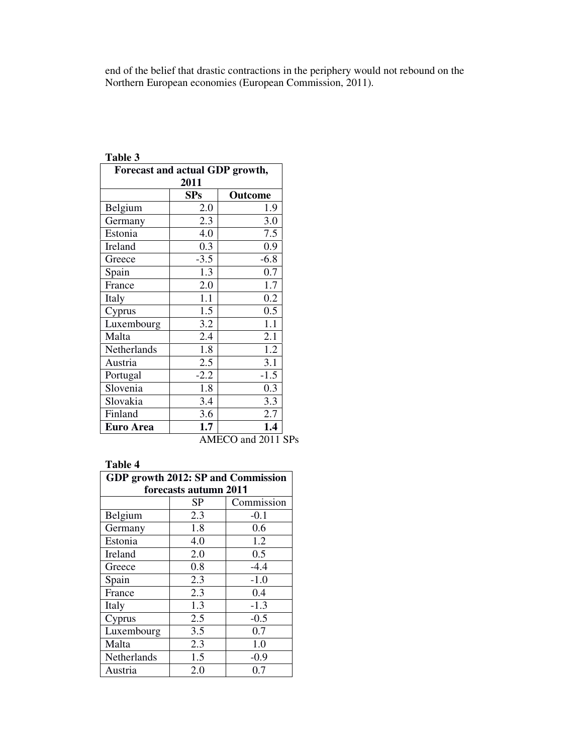end of the belief that drastic contractions in the periphery would not rebound on the Northern European economies (European Commission, 2011).

| Forecast and actual GDP growth, |                |        |  |  |  |  |  |  |
|---------------------------------|----------------|--------|--|--|--|--|--|--|
| 2011                            |                |        |  |  |  |  |  |  |
|                                 | SPs<br>Outcome |        |  |  |  |  |  |  |
| Belgium                         | 2.0            | 1.9    |  |  |  |  |  |  |
| Germany                         | 2.3            | 3.0    |  |  |  |  |  |  |
| Estonia                         | 4.0            | 7.5    |  |  |  |  |  |  |
| Ireland                         | 0.3            | 0.9    |  |  |  |  |  |  |
| Greece                          | $-3.5$         | $-6.8$ |  |  |  |  |  |  |
| Spain                           | 1.3            | 0.7    |  |  |  |  |  |  |
| France                          | 2.0            | 1.7    |  |  |  |  |  |  |
| Italy                           | 1.1            | 0.2    |  |  |  |  |  |  |
| Cyprus                          | 1.5            | 0.5    |  |  |  |  |  |  |
| Luxembourg                      | 3.2            | 1.1    |  |  |  |  |  |  |
| Malta                           | 2.4            | 2.1    |  |  |  |  |  |  |
| Netherlands                     | 1.8            | 1.2    |  |  |  |  |  |  |
| Austria                         | 2.5            | 3.1    |  |  |  |  |  |  |
| Portugal                        | $-2.2$         | $-1.5$ |  |  |  |  |  |  |
| Slovenia                        | 1.8            | 0.3    |  |  |  |  |  |  |
| Slovakia                        | 3.4            | 3.3    |  |  |  |  |  |  |
| Finland                         | 3.6            | 2.7    |  |  |  |  |  |  |
| <b>Euro Area</b>                | 1.7            | 1.4    |  |  |  |  |  |  |

#### **Table 3**

AMECO and 2011 SPs

#### **Table 4**

| GDP growth 2012: SP and Commission |     |        |  |  |  |  |  |
|------------------------------------|-----|--------|--|--|--|--|--|
| forecasts autumn 2011              |     |        |  |  |  |  |  |
| Commission<br>SP                   |     |        |  |  |  |  |  |
| Belgium                            | 2.3 | $-0.1$ |  |  |  |  |  |
| Germany                            | 1.8 | 0.6    |  |  |  |  |  |
| Estonia                            | 4.0 | 1.2    |  |  |  |  |  |
| Ireland                            | 2.0 | 0.5    |  |  |  |  |  |
| Greece                             | 0.8 | $-4.4$ |  |  |  |  |  |
| Spain                              | 2.3 | $-1.0$ |  |  |  |  |  |
| France                             | 2.3 | 0.4    |  |  |  |  |  |
| Italy                              | 1.3 | $-1.3$ |  |  |  |  |  |
| Cyprus                             | 2.5 | $-0.5$ |  |  |  |  |  |
| Luxembourg                         | 3.5 | 0.7    |  |  |  |  |  |
| Malta                              | 2.3 | 1.0    |  |  |  |  |  |
| Netherlands                        | 1.5 | $-0.9$ |  |  |  |  |  |
| Austria                            | 2.0 | 0.7    |  |  |  |  |  |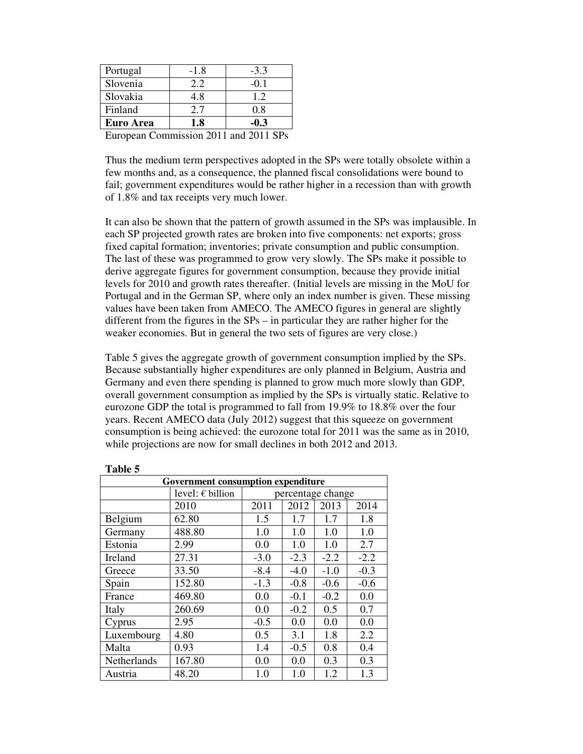| Euro Area | 1.8    | -0.3   |
|-----------|--------|--------|
| Finland   | 2.7    | 0.8    |
| Slovakia  | 4.8    | 12     |
| Slovenia  | 2.2    | $-0.1$ |
| Portugal  | $-1.8$ | $-3.3$ |
|           |        |        |

European Commission 2011 and 2011 SPs

Thus the medium term perspectives adopted in the SPs were totally obsolete within a few months and, as a consequence, the planned fiscal consolidations were bound to fail; government expenditures would be rather higher in a recession than with growth of 1.8% and tax receipts very much lower.

It can also be shown that the pattern of growth assumed in the SPs was implausible. In each SP projected growth rates are broken into five components: net exports; gross fixed capital formation; inventories; private consumption and public consumption. The last of these was programmed to grow very slowly. The SPs make it possible to derive aggregate figures for government consumption, because they provide initial levels for 2010 and growth rates thereafter. (Initial levels are missing in the MoU for Portugal and in the German SP, where only an index number is given. These missing values have been taken from AMECO. The AMECO figures in general are slightly different from the figures in the SPs – in particular they are rather higher for the weaker economies. But in general the two sets of figures are very close.)

Table 5 gives the aggregate growth of government consumption implied by the SPs. Because substantially higher expenditures are only planned in Belgium, Austria and Germany and even there spending is planned to grow much more slowly than GDP, overall government consumption as implied by the SPs is virtually static. Relative to eurozone GDP the total is programmed to fall from 19.9% to 18.8% over the four years. Recent AMECO data (July 2012) suggest that this squeeze on government consumption is being achieved: the eurozone total for 2011 was the same as in 2010, while projections are now for small declines in both 2012 and 2013.

| таніс Э                            |                           |        |                   |        |        |  |  |
|------------------------------------|---------------------------|--------|-------------------|--------|--------|--|--|
| Government consumption expenditure |                           |        |                   |        |        |  |  |
|                                    | level: $\epsilon$ billion |        | percentage change |        |        |  |  |
|                                    | 2010                      | 2011   | 2012              | 2013   | 2014   |  |  |
| Belgium                            | 62.80                     | 1.5    | 1.7               | 1.7    | 1.8    |  |  |
| Germany                            | 488.80                    | 1.0    | 1.0               | 1.0    | 1.0    |  |  |
| Estonia                            | 2.99                      | 0.0    | 1.0               | 1.0    | 2.7    |  |  |
| Ireland                            | 27.31                     | $-3.0$ | $-2.3$            | $-2.2$ | $-2.2$ |  |  |
| Greece                             | 33.50                     | $-8.4$ | $-4.0$            | $-1.0$ | $-0.3$ |  |  |
| Spain                              | 152.80                    | $-1.3$ | $-0.8$            | $-0.6$ | $-0.6$ |  |  |
| France                             | 469.80                    | 0.0    | $-0.1$            | $-0.2$ | 0.0    |  |  |
| Italy                              | 260.69                    | 0.0    | $-0.2$            | 0.5    | 0.7    |  |  |
| Cyprus                             | 2.95                      | $-0.5$ | 0.0               | 0.0    | 0.0    |  |  |
| Luxembourg                         | 4.80                      | 0.5    | 3.1               | 1.8    | 2.2    |  |  |
| Malta                              | 0.93                      | 1.4    | $-0.5$            | 0.8    | 0.4    |  |  |
| Netherlands                        | 167.80                    | 0.0    | 0.0               | 0.3    | 0.3    |  |  |
| Austria                            | 48.20                     | 1.0    | 1.0               | 1.2    | 1.3    |  |  |

| anı<br>r |  |
|----------|--|
|----------|--|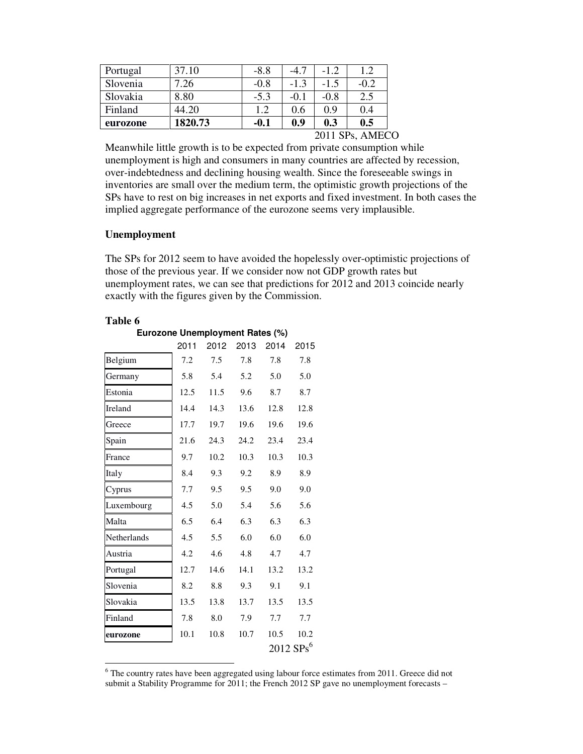| Portugal | 37.10   | $-8.8$ | $-4.7$ | $-12$  | 1.2     |
|----------|---------|--------|--------|--------|---------|
| Slovenia | .26     | $-0.8$ | $-1.3$ | $-1.5$ | $-0.2$  |
| Slovakia | 8.80    | $-5.3$ | $-0.1$ | $-0.8$ | 2.5     |
| Finland  | 44.20   | 1.2    | 0.6    | 0.9    | 0.4     |
| eurozone | 1820.73 | -0.1   | 0.9    | 0.3    | $0.5\,$ |

2011 SPs, AMECO

Meanwhile little growth is to be expected from private consumption while unemployment is high and consumers in many countries are affected by recession, over-indebtedness and declining housing wealth. Since the foreseeable swings in inventories are small over the medium term, the optimistic growth projections of the SPs have to rest on big increases in net exports and fixed investment. In both cases the implied aggregate performance of the eurozone seems very implausible.

#### **Unemployment**

The SPs for 2012 seem to have avoided the hopelessly over-optimistic projections of those of the previous year. If we consider now not GDP growth rates but unemployment rates, we can see that predictions for 2012 and 2013 coincide nearly exactly with the figures given by the Commission.

| able |  |
|------|--|
|------|--|

|             | Eurozone Unemployment Rates (%) |      |            |      |                         |  |  |  |
|-------------|---------------------------------|------|------------|------|-------------------------|--|--|--|
|             | 2011                            | 2012 | 2013       | 2014 | 2015                    |  |  |  |
| Belgium     | 7.2                             | 7.5  | 7.8        | 7.8  | 7.8                     |  |  |  |
| Germany     | 5.8                             | 5.4  | 5.2        | 5.0  | 5.0                     |  |  |  |
| Estonia     | 12.5                            | 11.5 | 9.6        | 8.7  | 8.7                     |  |  |  |
| Ireland     | 14.4                            | 14.3 | 13.6       | 12.8 | 12.8                    |  |  |  |
| Greece      | 17.7                            | 19.7 | 19.6       | 19.6 | 19.6                    |  |  |  |
| Spain       | 21.6                            | 24.3 | 24.2       | 23.4 | 23.4                    |  |  |  |
| France      | 9.7                             | 10.2 | 10.3       | 10.3 | 10.3                    |  |  |  |
| Italy       | 8.4                             | 9.3  | 9.2        | 8.9  | 8.9                     |  |  |  |
| Cyprus      | 7.7                             | 9.5  | 9.5        | 9.0  | 9.0                     |  |  |  |
| Luxembourg  | 4.5                             | 5.0  | 5.4        | 5.6  | 5.6                     |  |  |  |
| Malta       | 6.5                             | 6.4  | 6.3<br>6.3 |      | 6.3                     |  |  |  |
| Netherlands | 4.5                             | 5.5  | 6.0        | 6.0  | 6.0                     |  |  |  |
| Austria     | 4.2                             | 4.6  | 4.8        | 4.7  | 4.7                     |  |  |  |
| Portugal    | 12.7                            | 14.6 | 14.1       | 13.2 | 13.2                    |  |  |  |
| Slovenia    | 8.2                             | 8.8  | 9.3        | 9.1  | 9.1                     |  |  |  |
| Slovakia    | 13.5                            | 13.8 | 13.7       | 13.5 | 13.5                    |  |  |  |
| Finland     | 7.8                             | 8.0  | 7.9        | 7.7  | 7.7                     |  |  |  |
| eurozone    | 10.1                            | 10.8 | 10.7       | 10.5 | 10.2                    |  |  |  |
|             |                                 |      |            |      | $2012$ SPs <sup>6</sup> |  |  |  |

The country rates have been aggregated using labour force estimates from 2011. Greece did not submit a Stability Programme for 2011; the French 2012 SP gave no unemployment forecasts -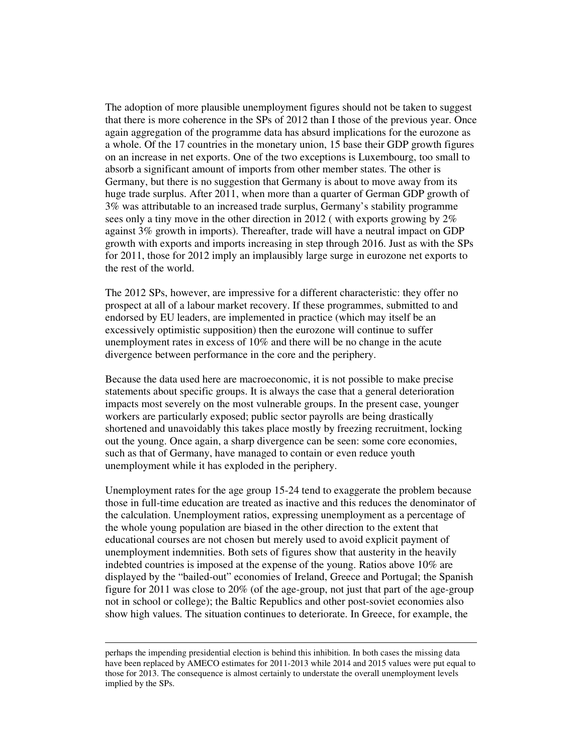The adoption of more plausible unemployment figures should not be taken to suggest that there is more coherence in the SPs of 2012 than I those of the previous year. Once again aggregation of the programme data has absurd implications for the eurozone as a whole. Of the 17 countries in the monetary union, 15 base their GDP growth figures on an increase in net exports. One of the two exceptions is Luxembourg, too small to absorb a significant amount of imports from other member states. The other is Germany, but there is no suggestion that Germany is about to move away from its huge trade surplus. After 2011, when more than a quarter of German GDP growth of 3% was attributable to an increased trade surplus, Germany's stability programme sees only a tiny move in the other direction in 2012 ( with exports growing by 2% against 3% growth in imports). Thereafter, trade will have a neutral impact on GDP growth with exports and imports increasing in step through 2016. Just as with the SPs for 2011, those for 2012 imply an implausibly large surge in eurozone net exports to the rest of the world.

The 2012 SPs, however, are impressive for a different characteristic: they offer no prospect at all of a labour market recovery. If these programmes, submitted to and endorsed by EU leaders, are implemented in practice (which may itself be an excessively optimistic supposition) then the eurozone will continue to suffer unemployment rates in excess of 10% and there will be no change in the acute divergence between performance in the core and the periphery.

Because the data used here are macroeconomic, it is not possible to make precise statements about specific groups. It is always the case that a general deterioration impacts most severely on the most vulnerable groups. In the present case, younger workers are particularly exposed; public sector payrolls are being drastically shortened and unavoidably this takes place mostly by freezing recruitment, locking out the young. Once again, a sharp divergence can be seen: some core economies, such as that of Germany, have managed to contain or even reduce youth unemployment while it has exploded in the periphery.

Unemployment rates for the age group 15-24 tend to exaggerate the problem because those in full-time education are treated as inactive and this reduces the denominator of the calculation. Unemployment ratios, expressing unemployment as a percentage of the whole young population are biased in the other direction to the extent that educational courses are not chosen but merely used to avoid explicit payment of unemployment indemnities. Both sets of figures show that austerity in the heavily indebted countries is imposed at the expense of the young. Ratios above 10% are displayed by the "bailed-out" economies of Ireland, Greece and Portugal; the Spanish figure for 2011 was close to 20% (of the age-group, not just that part of the age-group not in school or college); the Baltic Republics and other post-soviet economies also show high values. The situation continues to deteriorate. In Greece, for example, the

-

perhaps the impending presidential election is behind this inhibition. In both cases the missing data have been replaced by AMECO estimates for 2011-2013 while 2014 and 2015 values were put equal to those for 2013. The consequence is almost certainly to understate the overall unemployment levels implied by the SPs.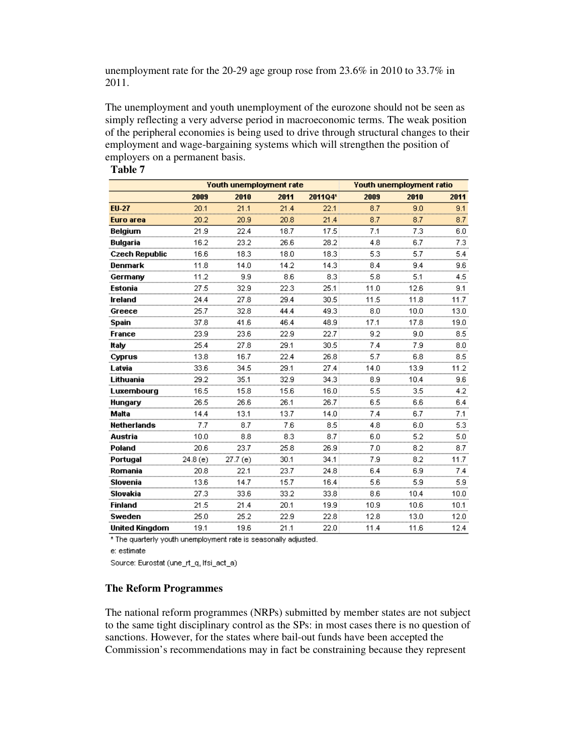unemployment rate for the 20-29 age group rose from 23.6% in 2010 to 33.7% in 2011.

The unemployment and youth unemployment of the eurozone should not be seen as simply reflecting a very adverse period in macroeconomic terms. The weak position of the peripheral economies is being used to drive through structural changes to their employment and wage-bargaining systems which will strengthen the position of employers on a permanent basis.

#### **Table 7**

|                       | Youth unemployment rate |          |      |         | <b>Youth unemployment ratio</b> |         |          |
|-----------------------|-------------------------|----------|------|---------|---------------------------------|---------|----------|
|                       | 2009                    | 2010     | 2011 | 2011Q4* | 2009                            | 2010    | 2011     |
| <b>EU-27</b>          | 20.1                    | 21.1     | 21.4 | 22.1    | 8.7                             | 9.0     | 9.1      |
| Euro area             | 20.2                    | 20.9     | 20.8 | 21.4    | 8.7                             | 8.7     | 8.7      |
| <b>Belgium</b>        | 21.9                    | 22.4     | 18.7 | 17.5    | 7.1                             | 7.3     | 6.0      |
| <b>Bulgaria</b>       | 16.2                    | 23.2     | 26.6 | 28.2    | 4.8                             | 6.7     | 7.3      |
| <b>Czech Republic</b> | 16.6                    | 18.3     | 18.0 | 18.3    | 5.3                             | 5.7     | 5.4<br>  |
| Denmark               | 11.8                    | 14.0     | 14.2 | 14.3    | 8.4                             | 9.4     | 9.6      |
|                       | 11.2                    | 9.9      | 8.6  | 8.3     | 5.8                             | 5.1<br> | 4.5      |
| Estonia               | 27.5                    | 32.9     | 22.3 | 25.1    | 11.0                            | 12.6    | 9.1      |
| Ireland               | 24.4                    | 27.8     | 29.4 | 30.5    | 11.5                            | 11.8    | 11.7     |
| Greece                | 25.7                    | 32.8     | 44.4 | 49.3    | 8.0                             | 10.0    | 13.0     |
| Spain                 | 37.8                    | 41.6     | 46.4 | 48.9    | 17.1                            | 17.8    | 19.0<br> |
| France                | 23.9                    | 23.6     | 22.9 | 22.7    | 9.2                             | 9.0     | 8.5      |
| ltaly                 | 25.4                    | 27.8     | 29.1 | 30.5    | 7.4                             | 7.9     | 8.0      |
| Cyprus                | 13.8                    | 16.7     | 22.4 | 26.8    | 5.7                             | 6.8     | 8.5      |
| Latvia                | 33.6                    | 34.5     | 29.1 | 27.4    | 14.0                            | 13.9    | 11.2     |
| Lithuania             | 29.2                    | 35.1     | 32.9 | 34.3    | 8.9                             | 10.4    | 9.6<br>  |
| Luxembourg            | 16.5                    | 15.8     | 15.6 | 16.0    | 5.5                             | 3.5     | 4.2      |
| Hungary               | 26.5                    | 26.6     | 26.1 | 26.7    | 6.5                             | 6.6     | 6.4      |
| Malta                 | 14.4                    | 13.1     | 13.7 | 14.0    | 7.4                             | 6.7     | 7.1      |
| Netherlands           | 7.7                     | 8.7      | 7.6  | 8.5     | 4.8                             | 6.0     | 5.3      |
| Austria               | 10.0                    | 8.8      | 8.3  | 8.7     | 6.0                             | 5.2     | 5.0<br>. |
| Poland                | 20.6                    | 23.7     | 25.8 | 26.9    | 7.0                             | 8.2     | 8.7      |
| Portugal              | 24.8 (e)                | 27.7 (e) | 30.1 | 34.1    | 7.9                             | 8.2     | 11.7     |
| Romania               | 20.8                    | 22.1     | 23.7 | 24.8    | 6.4                             | 6.9     | 7.4      |
| Slovenia              | 13.6                    | 14.7     | 15.7 | 16.4    | 5.6                             | 5.9     | 5.9      |
| Slovakia              | 27.3                    | 33.6     | 33.2 | 33.8    | 8.6                             | 10.4    | 10.0     |
| <b>Finland</b>        | 21.5                    | 21.4     | 20.1 | 19.9    | 10.9                            | 10.6    | 10.1     |
| Sweden                | 25.0                    | 25.2     | 22.9 | 22.8    | 12.8                            | 13.0    | 12.0     |
| <b>United Kingdom</b> | 19.1                    | 19.6     | 21.1 | 22.0    | 11.4                            | 11.6    | 12.4     |

\* The quarterly youth unemployment rate is seasonally adjusted.

e: estimate

Source: Eurostat (une\_rt\_q, lfsi\_act\_a)

#### **The Reform Programmes**

The national reform programmes (NRPs) submitted by member states are not subject to the same tight disciplinary control as the SPs: in most cases there is no question of sanctions. However, for the states where bail-out funds have been accepted the Commission's recommendations may in fact be constraining because they represent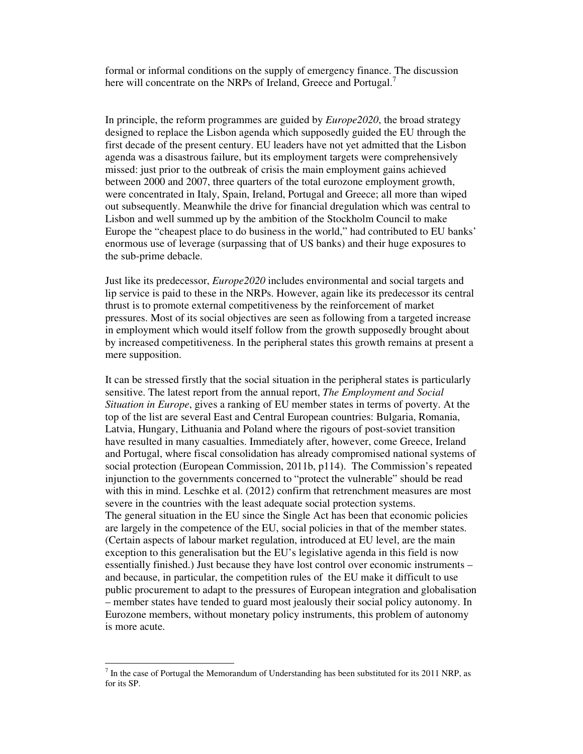formal or informal conditions on the supply of emergency finance. The discussion here will concentrate on the NRPs of Ireland, Greece and Portugal.<sup>7</sup>

In principle, the reform programmes are guided by *Europe2020*, the broad strategy designed to replace the Lisbon agenda which supposedly guided the EU through the first decade of the present century. EU leaders have not yet admitted that the Lisbon agenda was a disastrous failure, but its employment targets were comprehensively missed: just prior to the outbreak of crisis the main employment gains achieved between 2000 and 2007, three quarters of the total eurozone employment growth, were concentrated in Italy, Spain, Ireland, Portugal and Greece; all more than wiped out subsequently. Meanwhile the drive for financial dregulation which was central to Lisbon and well summed up by the ambition of the Stockholm Council to make Europe the "cheapest place to do business in the world," had contributed to EU banks' enormous use of leverage (surpassing that of US banks) and their huge exposures to the sub-prime debacle.

Just like its predecessor, *Europe2020* includes environmental and social targets and lip service is paid to these in the NRPs. However, again like its predecessor its central thrust is to promote external competitiveness by the reinforcement of market pressures. Most of its social objectives are seen as following from a targeted increase in employment which would itself follow from the growth supposedly brought about by increased competitiveness. In the peripheral states this growth remains at present a mere supposition.

It can be stressed firstly that the social situation in the peripheral states is particularly sensitive. The latest report from the annual report, *The Employment and Social Situation in Europe*, gives a ranking of EU member states in terms of poverty. At the top of the list are several East and Central European countries: Bulgaria, Romania, Latvia, Hungary, Lithuania and Poland where the rigours of post-soviet transition have resulted in many casualties. Immediately after, however, come Greece, Ireland and Portugal, where fiscal consolidation has already compromised national systems of social protection (European Commission, 2011b, p114). The Commission's repeated injunction to the governments concerned to "protect the vulnerable" should be read with this in mind. Leschke et al. (2012) confirm that retrenchment measures are most severe in the countries with the least adequate social protection systems. The general situation in the EU since the Single Act has been that economic policies are largely in the competence of the EU, social policies in that of the member states. (Certain aspects of labour market regulation, introduced at EU level, are the main exception to this generalisation but the EU's legislative agenda in this field is now essentially finished.) Just because they have lost control over economic instruments – and because, in particular, the competition rules of the EU make it difficult to use public procurement to adapt to the pressures of European integration and globalisation – member states have tended to guard most jealously their social policy autonomy. In Eurozone members, without monetary policy instruments, this problem of autonomy is more acute.

-

 $<sup>7</sup>$  In the case of Portugal the Memorandum of Understanding has been substituted for its 2011 NRP, as</sup> for its SP.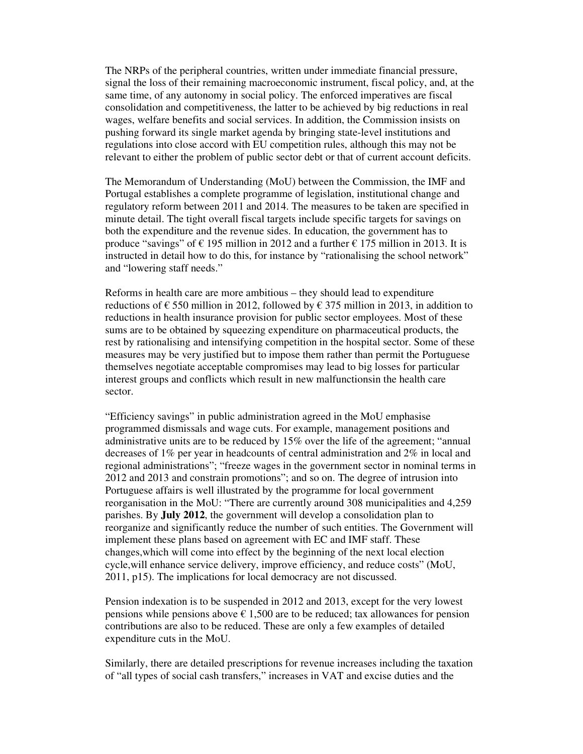The NRPs of the peripheral countries, written under immediate financial pressure, signal the loss of their remaining macroeconomic instrument, fiscal policy, and, at the same time, of any autonomy in social policy. The enforced imperatives are fiscal consolidation and competitiveness, the latter to be achieved by big reductions in real wages, welfare benefits and social services. In addition, the Commission insists on pushing forward its single market agenda by bringing state-level institutions and regulations into close accord with EU competition rules, although this may not be relevant to either the problem of public sector debt or that of current account deficits.

The Memorandum of Understanding (MoU) between the Commission, the IMF and Portugal establishes a complete programme of legislation, institutional change and regulatory reform between 2011 and 2014. The measures to be taken are specified in minute detail. The tight overall fiscal targets include specific targets for savings on both the expenditure and the revenue sides. In education, the government has to produce "savings" of  $\epsilon$  195 million in 2012 and a further  $\epsilon$  175 million in 2013. It is instructed in detail how to do this, for instance by "rationalising the school network" and "lowering staff needs."

Reforms in health care are more ambitious – they should lead to expenditure reductions of  $\epsilon$  550 million in 2012, followed by  $\epsilon$  375 million in 2013, in addition to reductions in health insurance provision for public sector employees. Most of these sums are to be obtained by squeezing expenditure on pharmaceutical products, the rest by rationalising and intensifying competition in the hospital sector. Some of these measures may be very justified but to impose them rather than permit the Portuguese themselves negotiate acceptable compromises may lead to big losses for particular interest groups and conflicts which result in new malfunctionsin the health care sector.

"Efficiency savings" in public administration agreed in the MoU emphasise programmed dismissals and wage cuts. For example, management positions and administrative units are to be reduced by 15% over the life of the agreement; "annual decreases of 1% per year in headcounts of central administration and 2% in local and regional administrations"; "freeze wages in the government sector in nominal terms in 2012 and 2013 and constrain promotions"; and so on. The degree of intrusion into Portuguese affairs is well illustrated by the programme for local government reorganisation in the MoU: "There are currently around 308 municipalities and 4,259 parishes. By **July 2012**, the government will develop a consolidation plan to reorganize and significantly reduce the number of such entities. The Government will implement these plans based on agreement with EC and IMF staff. These changes,which will come into effect by the beginning of the next local election cycle,will enhance service delivery, improve efficiency, and reduce costs" (MoU, 2011, p15). The implications for local democracy are not discussed.

Pension indexation is to be suspended in 2012 and 2013, except for the very lowest pensions while pensions above  $\epsilon$  1,500 are to be reduced; tax allowances for pension contributions are also to be reduced. These are only a few examples of detailed expenditure cuts in the MoU.

Similarly, there are detailed prescriptions for revenue increases including the taxation of "all types of social cash transfers," increases in VAT and excise duties and the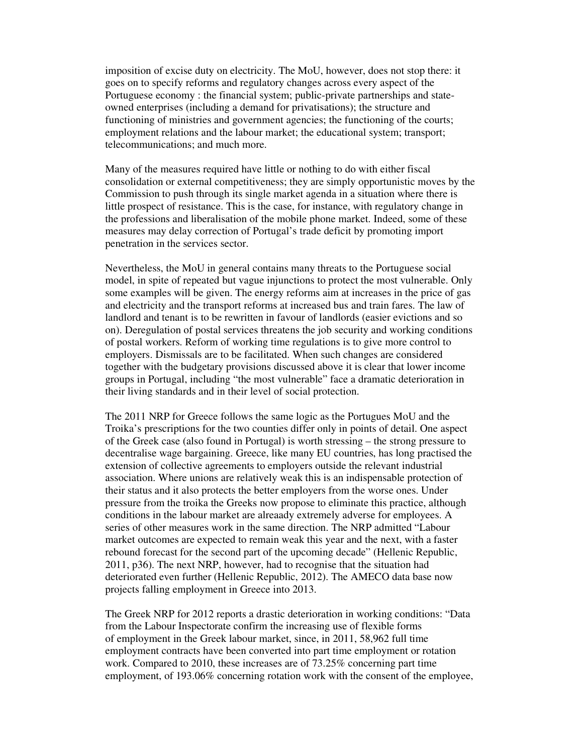imposition of excise duty on electricity. The MoU, however, does not stop there: it goes on to specify reforms and regulatory changes across every aspect of the Portuguese economy : the financial system; public-private partnerships and stateowned enterprises (including a demand for privatisations); the structure and functioning of ministries and government agencies; the functioning of the courts; employment relations and the labour market; the educational system; transport; telecommunications; and much more.

Many of the measures required have little or nothing to do with either fiscal consolidation or external competitiveness; they are simply opportunistic moves by the Commission to push through its single market agenda in a situation where there is little prospect of resistance. This is the case, for instance, with regulatory change in the professions and liberalisation of the mobile phone market. Indeed, some of these measures may delay correction of Portugal's trade deficit by promoting import penetration in the services sector.

Nevertheless, the MoU in general contains many threats to the Portuguese social model, in spite of repeated but vague injunctions to protect the most vulnerable. Only some examples will be given. The energy reforms aim at increases in the price of gas and electricity and the transport reforms at increased bus and train fares. The law of landlord and tenant is to be rewritten in favour of landlords (easier evictions and so on). Deregulation of postal services threatens the job security and working conditions of postal workers. Reform of working time regulations is to give more control to employers. Dismissals are to be facilitated. When such changes are considered together with the budgetary provisions discussed above it is clear that lower income groups in Portugal, including "the most vulnerable" face a dramatic deterioration in their living standards and in their level of social protection.

The 2011 NRP for Greece follows the same logic as the Portugues MoU and the Troika's prescriptions for the two counties differ only in points of detail. One aspect of the Greek case (also found in Portugal) is worth stressing – the strong pressure to decentralise wage bargaining. Greece, like many EU countries, has long practised the extension of collective agreements to employers outside the relevant industrial association. Where unions are relatively weak this is an indispensable protection of their status and it also protects the better employers from the worse ones. Under pressure from the troika the Greeks now propose to eliminate this practice, although conditions in the labour market are alreaady extremely adverse for employees. A series of other measures work in the same direction. The NRP admitted "Labour market outcomes are expected to remain weak this year and the next, with a faster rebound forecast for the second part of the upcoming decade" (Hellenic Republic, 2011, p36). The next NRP, however, had to recognise that the situation had deteriorated even further (Hellenic Republic, 2012). The AMECO data base now projects falling employment in Greece into 2013.

The Greek NRP for 2012 reports a drastic deterioration in working conditions: "Data from the Labour Inspectorate confirm the increasing use of flexible forms of employment in the Greek labour market, since, in 2011, 58,962 full time employment contracts have been converted into part time employment or rotation work. Compared to 2010, these increases are of 73.25% concerning part time employment, of 193.06% concerning rotation work with the consent of the employee,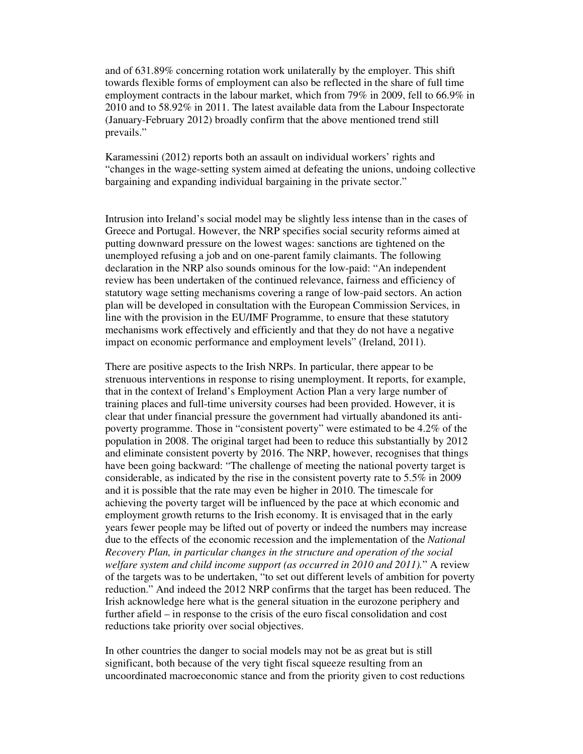and of 631.89% concerning rotation work unilaterally by the employer. This shift towards flexible forms of employment can also be reflected in the share of full time employment contracts in the labour market, which from 79% in 2009, fell to 66.9% in 2010 and to 58.92% in 2011. The latest available data from the Labour Inspectorate (January-February 2012) broadly confirm that the above mentioned trend still prevails."

Karamessini (2012) reports both an assault on individual workers' rights and "changes in the wage-setting system aimed at defeating the unions, undoing collective bargaining and expanding individual bargaining in the private sector."

Intrusion into Ireland's social model may be slightly less intense than in the cases of Greece and Portugal. However, the NRP specifies social security reforms aimed at putting downward pressure on the lowest wages: sanctions are tightened on the unemployed refusing a job and on one-parent family claimants. The following declaration in the NRP also sounds ominous for the low-paid: "An independent review has been undertaken of the continued relevance, fairness and efficiency of statutory wage setting mechanisms covering a range of low-paid sectors. An action plan will be developed in consultation with the European Commission Services, in line with the provision in the EU/IMF Programme, to ensure that these statutory mechanisms work effectively and efficiently and that they do not have a negative impact on economic performance and employment levels" (Ireland, 2011).

There are positive aspects to the Irish NRPs. In particular, there appear to be strenuous interventions in response to rising unemployment. It reports, for example, that in the context of Ireland's Employment Action Plan a very large number of training places and full-time university courses had been provided. However, it is clear that under financial pressure the government had virtually abandoned its antipoverty programme. Those in "consistent poverty" were estimated to be 4.2% of the population in 2008. The original target had been to reduce this substantially by 2012 and eliminate consistent poverty by 2016. The NRP, however, recognises that things have been going backward: "The challenge of meeting the national poverty target is considerable, as indicated by the rise in the consistent poverty rate to 5.5% in 2009 and it is possible that the rate may even be higher in 2010. The timescale for achieving the poverty target will be influenced by the pace at which economic and employment growth returns to the Irish economy. It is envisaged that in the early years fewer people may be lifted out of poverty or indeed the numbers may increase due to the effects of the economic recession and the implementation of the *National Recovery Plan, in particular changes in the structure and operation of the social welfare system and child income support (as occurred in 2010 and 2011).*" A review of the targets was to be undertaken, "to set out different levels of ambition for poverty reduction." And indeed the 2012 NRP confirms that the target has been reduced. The Irish acknowledge here what is the general situation in the eurozone periphery and further afield – in response to the crisis of the euro fiscal consolidation and cost reductions take priority over social objectives.

In other countries the danger to social models may not be as great but is still significant, both because of the very tight fiscal squeeze resulting from an uncoordinated macroeconomic stance and from the priority given to cost reductions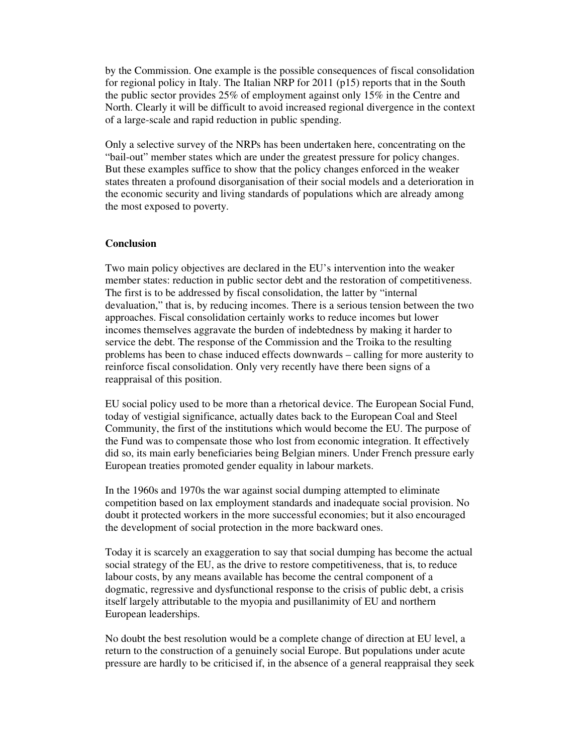by the Commission. One example is the possible consequences of fiscal consolidation for regional policy in Italy. The Italian NRP for 2011 (p15) reports that in the South the public sector provides 25% of employment against only 15% in the Centre and North. Clearly it will be difficult to avoid increased regional divergence in the context of a large-scale and rapid reduction in public spending.

Only a selective survey of the NRPs has been undertaken here, concentrating on the "bail-out" member states which are under the greatest pressure for policy changes. But these examples suffice to show that the policy changes enforced in the weaker states threaten a profound disorganisation of their social models and a deterioration in the economic security and living standards of populations which are already among the most exposed to poverty.

#### **Conclusion**

Two main policy objectives are declared in the EU's intervention into the weaker member states: reduction in public sector debt and the restoration of competitiveness. The first is to be addressed by fiscal consolidation, the latter by "internal devaluation," that is, by reducing incomes. There is a serious tension between the two approaches. Fiscal consolidation certainly works to reduce incomes but lower incomes themselves aggravate the burden of indebtedness by making it harder to service the debt. The response of the Commission and the Troika to the resulting problems has been to chase induced effects downwards – calling for more austerity to reinforce fiscal consolidation. Only very recently have there been signs of a reappraisal of this position.

EU social policy used to be more than a rhetorical device. The European Social Fund, today of vestigial significance, actually dates back to the European Coal and Steel Community, the first of the institutions which would become the EU. The purpose of the Fund was to compensate those who lost from economic integration. It effectively did so, its main early beneficiaries being Belgian miners. Under French pressure early European treaties promoted gender equality in labour markets.

In the 1960s and 1970s the war against social dumping attempted to eliminate competition based on lax employment standards and inadequate social provision. No doubt it protected workers in the more successful economies; but it also encouraged the development of social protection in the more backward ones.

Today it is scarcely an exaggeration to say that social dumping has become the actual social strategy of the EU, as the drive to restore competitiveness, that is, to reduce labour costs, by any means available has become the central component of a dogmatic, regressive and dysfunctional response to the crisis of public debt, a crisis itself largely attributable to the myopia and pusillanimity of EU and northern European leaderships.

No doubt the best resolution would be a complete change of direction at EU level, a return to the construction of a genuinely social Europe. But populations under acute pressure are hardly to be criticised if, in the absence of a general reappraisal they seek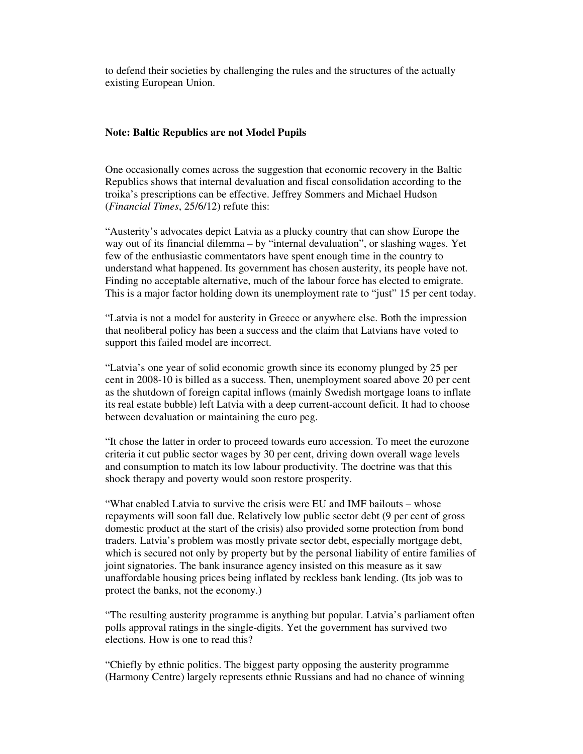to defend their societies by challenging the rules and the structures of the actually existing European Union.

#### **Note: Baltic Republics are not Model Pupils**

One occasionally comes across the suggestion that economic recovery in the Baltic Republics shows that internal devaluation and fiscal consolidation according to the troika's prescriptions can be effective. Jeffrey Sommers and Michael Hudson (*Financial Times*, 25/6/12) refute this:

"Austerity's advocates depict Latvia as a plucky country that can show Europe the way out of its financial dilemma – by "internal devaluation", or slashing wages. Yet few of the enthusiastic commentators have spent enough time in the country to understand what happened. Its government has chosen austerity, its people have not. Finding no acceptable alternative, much of the labour force has elected to emigrate. This is a major factor holding down its unemployment rate to "just" 15 per cent today.

"Latvia is not a model for austerity in Greece or anywhere else. Both the impression that neoliberal policy has been a success and the claim that Latvians have voted to support this failed model are incorrect.

"Latvia's one year of solid economic growth since its economy plunged by 25 per cent in 2008-10 is billed as a success. Then, unemployment soared above 20 per cent as the shutdown of foreign capital inflows (mainly Swedish mortgage loans to inflate its real estate bubble) left Latvia with a deep current-account deficit. It had to choose between devaluation or maintaining the euro peg.

"It chose the latter in order to proceed towards euro accession. To meet the eurozone criteria it cut public sector wages by 30 per cent, driving down overall wage levels and consumption to match its low labour productivity. The doctrine was that this shock therapy and poverty would soon restore prosperity.

"What enabled Latvia to survive the crisis were EU and IMF bailouts – whose repayments will soon fall due. Relatively low public sector debt (9 per cent of gross domestic product at the start of the crisis) also provided some protection from bond traders. Latvia's problem was mostly private sector debt, especially mortgage debt, which is secured not only by property but by the personal liability of entire families of joint signatories. The bank insurance agency insisted on this measure as it saw unaffordable housing prices being inflated by reckless bank lending. (Its job was to protect the banks, not the economy.)

"The resulting austerity programme is anything but popular. Latvia's parliament often polls approval ratings in the single-digits. Yet the government has survived two elections. How is one to read this?

"Chiefly by ethnic politics. The biggest party opposing the austerity programme (Harmony Centre) largely represents ethnic Russians and had no chance of winning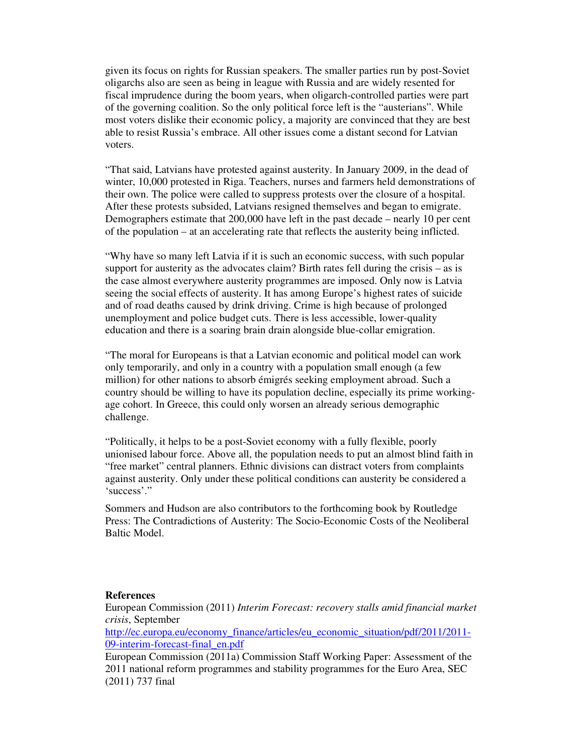given its focus on rights for Russian speakers. The smaller parties run by post-Soviet oligarchs also are seen as being in league with Russia and are widely resented for fiscal imprudence during the boom years, when oligarch-controlled parties were part of the governing coalition. So the only political force left is the "austerians". While most voters dislike their economic policy, a majority are convinced that they are best able to resist Russia's embrace. All other issues come a distant second for Latvian voters.

"That said, Latvians have protested against austerity. In January 2009, in the dead of winter, 10,000 protested in Riga. Teachers, nurses and farmers held demonstrations of their own. The police were called to suppress protests over the closure of a hospital. After these protests subsided, Latvians resigned themselves and began to emigrate. Demographers estimate that 200,000 have left in the past decade – nearly 10 per cent of the population – at an accelerating rate that reflects the austerity being inflicted.

"Why have so many left Latvia if it is such an economic success, with such popular support for austerity as the advocates claim? Birth rates fell during the crisis – as is the case almost everywhere austerity programmes are imposed. Only now is Latvia seeing the social effects of austerity. It has among Europe's highest rates of suicide and of road deaths caused by drink driving. Crime is high because of prolonged unemployment and police budget cuts. There is less accessible, lower-quality education and there is a soaring brain drain alongside blue-collar emigration.

"The moral for Europeans is that a Latvian economic and political model can work only temporarily, and only in a country with a population small enough (a few million) for other nations to absorb émigrés seeking employment abroad. Such a country should be willing to have its population decline, especially its prime workingage cohort. In Greece, this could only worsen an already serious demographic challenge.

"Politically, it helps to be a post-Soviet economy with a fully flexible, poorly unionised labour force. Above all, the population needs to put an almost blind faith in "free market" central planners. Ethnic divisions can distract voters from complaints against austerity. Only under these political conditions can austerity be considered a 'success'."

Sommers and Hudson are also contributors to the forthcoming book by Routledge Press: The Contradictions of Austerity: The Socio-Economic Costs of the Neoliberal Baltic Model.

#### **References**

European Commission (2011) *Interim Forecast: recovery stalls amid financial market crisis*, September

http://ec.europa.eu/economy\_finance/articles/eu\_economic\_situation/pdf/2011/2011-09-interim-forecast-final\_en.pdf

European Commission (2011a) Commission Staff Working Paper: Assessment of the 2011 national reform programmes and stability programmes for the Euro Area, SEC (2011) 737 final